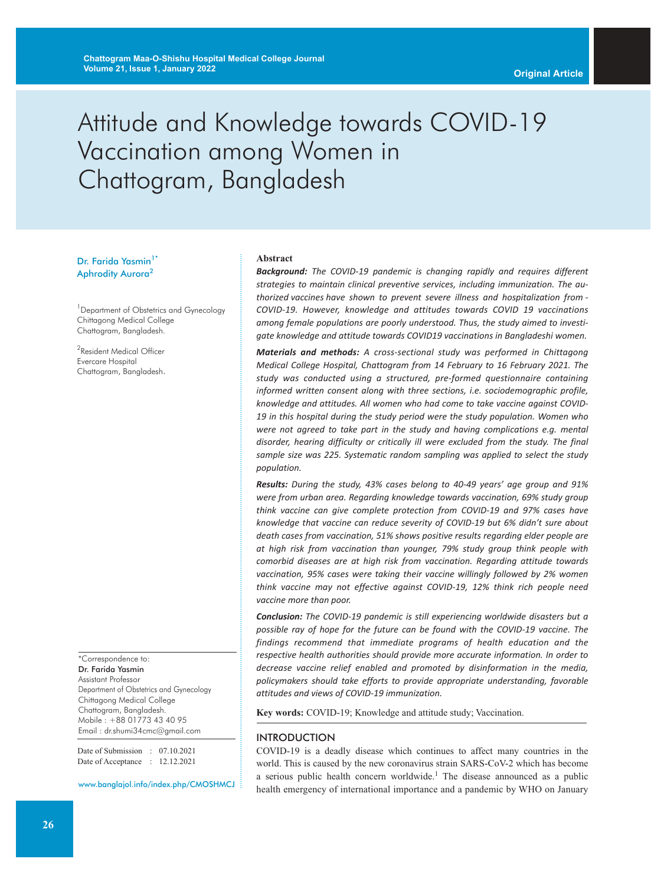# Attitude and Knowledge towards COVID-19 Vaccination among Women in Chattogram, Bangladesh

### Dr. Farida Yasmin<sup>1\*</sup> Aphrodity Aurora<sup>2</sup>

<sup>1</sup> Department of Obstetrics and Gynecology Chittagong Medical College Chattogram, Bangladesh.

<sup>2</sup>Resident Medical Officer Evercare Hospital Chattogram, Bangladesh.

\*Correspondence to: Dr. Farida Yasmin Assistant Professor Department of Obstetrics and Gynecology Chittagong Medical College Chattogram, Bangladesh. Mobile : +88 01773 43 40 95 Email : dr.shumi34cmc@gmail.com

Date of Submission : 07.10.2021 Date of Acceptance : 12.12.2021

www.banglajol.info/index.php/CMOSHMCJ

#### **Abstract**

*Background: The COVID-19 pandemic is changing rapidly and requires different strategies to maintain clinical preventive services, including immunization. The authorized vaccines have shown to prevent severe illness and hospitalization from - COVID-19. However, knowledge and attitudes towards COVID 19 vaccinations among female populations are poorly understood. Thus, the study aimed to investigate knowledge and attitude towards COVID19 vaccinations in Bangladeshi women.*

*Materials and methods: A cross-sectional study was performed in Chittagong Medical College Hospital, Chattogram from 14 February to 16 February 2021. The study was conducted using a structured, pre-formed questionnaire containing informed written consent along with three sections, i.e. sociodemographic profile, knowledge and attitudes. All women who had come to take vaccine against COVID-19 in this hospital during the study period were the study population. Women who were not agreed to take part in the study and having complications e.g. mental disorder, hearing difficulty or critically ill were excluded from the study. The final sample size was 225. Systematic random sampling was applied to select the study population.*

*Results: During the study, 43% cases belong to 40-49 years' age group and 91% were from urban area. Regarding knowledge towards vaccination, 69% study group think vaccine can give complete protection from COVID-19 and 97% cases have knowledge that vaccine can reduce severity of COVID-19 but 6% didn't sure about death cases from vaccination, 51% shows positive results regarding elder people are at high risk from vaccination than younger, 79% study group think people with comorbid diseases are at high risk from vaccination. Regarding attitude towards vaccination, 95% cases were taking their vaccine willingly followed by 2% women think vaccine may not effective against COVID-19, 12% think rich people need vaccine more than poor.*

*Conclusion: The COVID-19 pandemic is still experiencing worldwide disasters but a possible ray of hope for the future can be found with the COVID-19 vaccine. The findings recommend that immediate programs of health education and the respective health authorities should provide more accurate information. In order to decrease vaccine relief enabled and promoted by disinformation in the media, policymakers should take efforts to provide appropriate understanding, favorable attitudes and views of COVID-19 immunization.*

**Key words:** COVID-19; Knowledge and attitude study; Vaccination.

#### INTRODUCTION

COVID-19 is a deadly disease which continues to affect many countries in the world. This is caused by the new coronavirus strain SARS-CoV-2 which has become a serious public health concern worldwide. <sup>1</sup> The disease announced as a public health emergency of international importance and a pandemic by WHO on January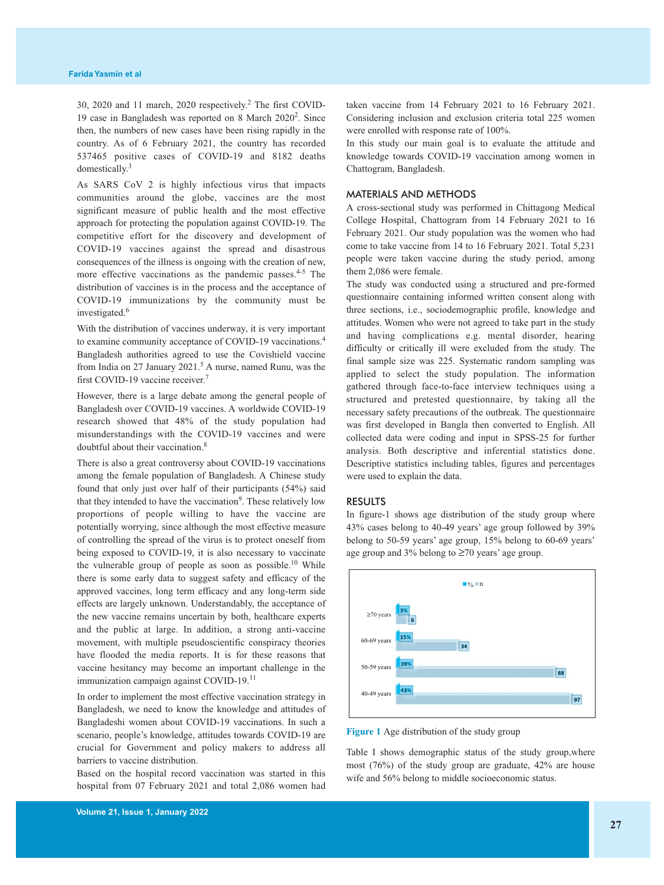30, 2020 and 11 march, 2020 respectively. <sup>2</sup> The first COVID-19 case in Bangladesh was reported on 8 March 2020<sup>2</sup>. Since then, the numbers of new cases have been rising rapidly in the country. As of 6 February 2021, the country has recorded 537465 positive cases of COVID-19 and 8182 deaths domestically. 3

As SARS CoV 2 is highly infectious virus that impacts communities around the globe, vaccines are the most significant measure of public health and the most effective approach for protecting the population against COVID-19. The competitive effort for the discovery and development of COVID-19 vaccines against the spread and disastrous consequences of the illness is ongoing with the creation of new, more effective vaccinations as the pandemic passes.<sup>4-5</sup> The distribution of vaccines is in the process and the acceptance of COVID-19 immunizations by the community must be investigated. 6

With the distribution of vaccines underway, it is very important to examine community acceptance of COVID-19 vaccinations. 4 Bangladesh authorities agreed to use the Covishield vaccine from India on 27 January 2021. <sup>5</sup> A nurse, named Runu, was the first COVID-19 vaccine receiver.<sup>7</sup>

However, there is a large debate among the general people of Bangladesh over COVID-19 vaccines. A worldwide COVID-19 research showed that 48% of the study population had misunderstandings with the COVID-19 vaccines and were doubtful about their vaccination. 8

There is also a great controversy about COVID-19 vaccinations among the female population of Bangladesh. A Chinese study found that only just over half of their participants (54%) said that they intended to have the vaccination<sup>9</sup>. These relatively low proportions of people willing to have the vaccine are potentially worrying, since although the most effective measure of controlling the spread of the virus is to protect oneself from being exposed to COVID-19, it is also necessary to vaccinate the vulnerable group of people as soon as possible.<sup>10</sup> While there is some early data to suggest safety and efficacy of the approved vaccines, long term efficacy and any long-term side effects are largely unknown. Understandably, the acceptance of the new vaccine remains uncertain by both, healthcare experts and the public at large. In addition, a strong anti-vaccine movement, with multiple pseudoscientific conspiracy theories have flooded the media reports. It is for these reasons that vaccine hesitancy may become an important challenge in the immunization campaign against COVID-19.<sup>11</sup>

In order to implement the most effective vaccination strategy in Bangladesh, we need to know the knowledge and attitudes of Bangladeshi women about COVID-19 vaccinations. In such a scenario, people's knowledge, attitudes towards COVID-19 are crucial for Government and policy makers to address all barriers to vaccine distribution.

Based on the hospital record vaccination was started in this hospital from 07 February 2021 and total 2,086 women had taken vaccine from 14 February 2021 to 16 February 2021. Considering inclusion and exclusion criteria total 225 women were enrolled with response rate of 100%.

In this study our main goal is to evaluate the attitude and knowledge towards COVID-19 vaccination among women in Chattogram, Bangladesh.

#### MATERIALS AND METHODS

A cross-sectional study was performed in Chittagong Medical College Hospital, Chattogram from 14 February 2021 to 16 February 2021. Our study population was the women who had come to take vaccine from 14 to 16 February 2021. Total 5,231 people were taken vaccine during the study period, among them 2,086 were female.

The study was conducted using a structured and pre-formed questionnaire containing informed written consent along with three sections, i.e., sociodemographic profile, knowledge and attitudes. Women who were not agreed to take part in the study and having complications e.g. mental disorder, hearing difficulty or critically ill were excluded from the study. The final sample size was 225. Systematic random sampling was applied to select the study population. The information gathered through face-to-face interview techniques using a structured and pretested questionnaire, by taking all the necessary safety precautions of the outbreak. The questionnaire was first developed in Bangla then converted to English. All collected data were coding and input in SPSS-25 for further analysis. Both descriptive and inferential statistics done. Descriptive statistics including tables, figures and percentages were used to explain the data.

#### RESULTS

In figure-1 shows age distribution of the study group where 43% cases belong to 40-49 years' age group followed by 39% belong to 50-59 years' age group, 15% belong to 60-69 years' age group and 3% belong to ≥70 years' age group.



**Figure 1** Age distribution of the study group

Table I shows demographic status of the study group,where most (76%) of the study group are graduate, 42% are house wife and 56% belong to middle socioeconomic status.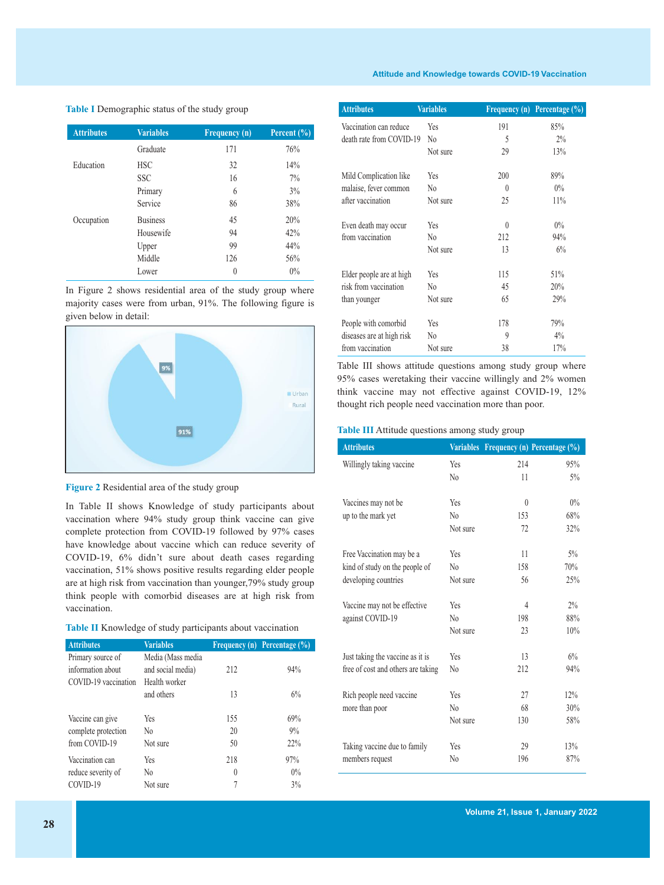#### **Attitude and Knowledge towards COVID-19 Vaccination**

**Table I** Demographic status of the study group

| <b>Attributes</b> | <b>Variables</b> | Frequency (n) | Percent $(\sqrt[6]{6})$ |
|-------------------|------------------|---------------|-------------------------|
|                   | Graduate         | 171           | 76%                     |
| Education         | <b>HSC</b>       | 32            | 14%                     |
|                   | <b>SSC</b>       | 16            | 7%                      |
|                   | Primary          | 6             | $3\%$                   |
|                   | Service          | 86            | 38%                     |
| Occupation        | <b>Business</b>  | 45            | 20%                     |
|                   | Housewife        | 94            | 42%                     |
|                   | Upper            | 99            | 44%                     |
|                   | Middle           | 126           | 56%                     |
|                   | Lower            | 0             | 0%                      |

In Figure 2 shows residential area of the study group where majority cases were from urban, 91%. The following figure is given below in detail:





In Table II shows Knowledge of study participants about vaccination where 94% study group think vaccine can give complete protection from COVID-19 followed by 97% cases have knowledge about vaccine which can reduce severity of COVID-19, 6% didn't sure about death cases regarding vaccination, 51% shows positive results regarding elder people are at high risk from vaccination than younger,79% study group think people with comorbid diseases are at high risk from vaccination.

| Table II Knowledge of study participants about vaccination |  |
|------------------------------------------------------------|--|
|------------------------------------------------------------|--|

| <b>Attributes</b>                                              | <b>Variables</b>                                        |                 | <b>Frequency (n) Percentage (%)</b> |
|----------------------------------------------------------------|---------------------------------------------------------|-----------------|-------------------------------------|
| Primary source of<br>information about<br>COVID-19 vaccination | Media (Mass media<br>and social media)<br>Health worker | 212             | 94%                                 |
|                                                                | and others                                              | 13              | 6%                                  |
| Vaccine can give<br>complete protection<br>from COVID-19       | Yes<br>N <sub>0</sub><br>Not sure                       | 155<br>20<br>50 | 69%<br>$9\%$<br>22%                 |
| Vaccination can                                                | Yes                                                     | 218             | 97%                                 |
| reduce severity of                                             | N <sub>0</sub>                                          | $\theta$        | $0\%$                               |
| COVID-19                                                       | Not sure                                                |                 | 3%                                  |

| <b>Attributes</b>         | <b>Variables</b> |          | Frequency (n) Percentage $(\%)$ |
|---------------------------|------------------|----------|---------------------------------|
| Vaccination can reduce    | Yes              | 191      | 85%                             |
| death rate from COVID-19  | N <sub>0</sub>   | 5        | $2\%$                           |
|                           | Not sure         | 29       | 13%                             |
| Mild Complication like    | Yes              | 200      | 89%                             |
| malaise, fever common     | No               | $\theta$ | $0\%$                           |
| after vaccination         | Not sure         | 25       | 11%                             |
| Even death may occur      | Yes              | $\theta$ | $0\%$                           |
| from vaccination          | No               | 212      | 94%                             |
|                           | Not sure         | 13       | 6%                              |
| Elder people are at high  | Yes              | 115      | 51%                             |
| risk from vaccination     | No               | 45       | 20%                             |
| than younger              | Not sure         | 65       | 29%                             |
| People with comorbid      | Yes              | 178      | 79%                             |
| diseases are at high risk | No               | 9        | 4%                              |
| from vaccination          | Not sure         | 38       | 17%                             |

Table III shows attitude questions among study group where 95% cases weretaking their vaccine willingly and 2% women think vaccine may not effective against COVID-19, 12% thought rich people need vaccination more than poor.

**Table III** Attitude questions among study group

| <b>Attributes</b>                  |                |          | Variables Frequency (n) Percentage (%) |
|------------------------------------|----------------|----------|----------------------------------------|
| Willingly taking vaccine           | Yes            | 214      | 95%                                    |
|                                    | $\rm No$       | 11       | $5\%$                                  |
|                                    |                |          |                                        |
| Vaccines may not be                | Yes            | $\theta$ | $0\%$                                  |
| up to the mark yet                 | N <sub>0</sub> | 153      | 68%                                    |
|                                    | Not sure       | 72       | 32%                                    |
| Free Vaccination may be a          | Yes            | 11       | $5\%$                                  |
| kind of study on the people of     | $\rm No$       | 158      | 70%                                    |
| developing countries               | Not sure       | 56       | 25%                                    |
|                                    |                |          |                                        |
| Vaccine may not be effective       | Yes            | 4        | $2\%$                                  |
| against COVID-19                   | $\rm N_0$      | 198      | 88%                                    |
|                                    | Not sure       | 23       | 10%                                    |
| Just taking the vaccine as it is   | Yes            | 13       | 6%                                     |
| free of cost and others are taking | N0             | 212      | 94%                                    |
|                                    |                |          |                                        |
| Rich people need vaccine           | Yes            | 27       | 12%                                    |
| more than poor                     | $\rm No$       | 68       | 30%                                    |
|                                    | Not sure       | 130      | 58%                                    |
| Taking vaccine due to family       | Yes            | 29       | 13%                                    |
| members request                    | N <sub>0</sub> | 196      | 87%                                    |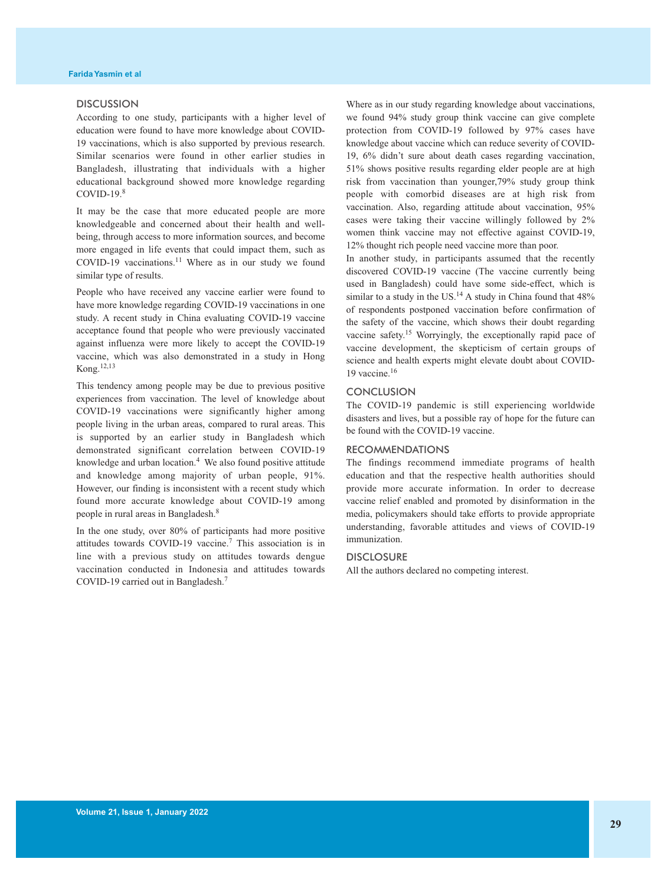#### **DISCUSSION**

According to one study, participants with a higher level of education were found to have more knowledge about COVID-19 vaccinations, which is also supported by previous research. Similar scenarios were found in other earlier studies in Bangladesh, illustrating that individuals with a higher educational background showed more knowledge regarding COVID-19. 8

It may be the case that more educated people are more knowledgeable and concerned about their health and wellbeing, through access to more information sources, and become more engaged in life events that could impact them, such as COVID-19 vaccinations. <sup>11</sup> Where as in our study we found similar type of results.

People who have received any vaccine earlier were found to have more knowledge regarding COVID-19 vaccinations in one study. A recent study in China evaluating COVID-19 vaccine acceptance found that people who were previously vaccinated against influenza were more likely to accept the COVID-19 vaccine, which was also demonstrated in a study in Hong Kong. 12,13

This tendency among people may be due to previous positive experiences from vaccination. The level of knowledge about COVID-19 vaccinations were significantly higher among people living in the urban areas, compared to rural areas. This is supported by an earlier study in Bangladesh which demonstrated significant correlation between COVID-19 knowledge and urban location. <sup>4</sup> We also found positive attitude and knowledge among majority of urban people, 91%. However, our finding is inconsistent with a recent study which found more accurate knowledge about COVID-19 among people in rural areas in Bangladesh. 8

In the one study, over 80% of participants had more positive attitudes towards COVID-19 vaccine. <sup>7</sup> This association is in line with a previous study on attitudes towards dengue vaccination conducted in Indonesia and attitudes towards COVID-19 carried out in Bangladesh. 7

Where as in our study regarding knowledge about vaccinations, we found 94% study group think vaccine can give complete protection from COVID-19 followed by 97% cases have knowledge about vaccine which can reduce severity of COVID-19, 6% didn't sure about death cases regarding vaccination, 51% shows positive results regarding elder people are at high risk from vaccination than younger,79% study group think people with comorbid diseases are at high risk from vaccination. Also, regarding attitude about vaccination, 95% cases were taking their vaccine willingly followed by 2% women think vaccine may not effective against COVID-19, 12% thought rich people need vaccine more than poor.

In another study, in participants assumed that the recently discovered COVID-19 vaccine (The vaccine currently being used in Bangladesh) could have some side-effect, which is similar to a study in the US.<sup>14</sup> A study in China found that  $48\%$ of respondents postponed vaccination before confirmation of the safety of the vaccine, which shows their doubt regarding vaccine safety.<sup>15</sup> Worryingly, the exceptionally rapid pace of vaccine development, the skepticism of certain groups of science and health experts might elevate doubt about COVID-19 vaccine. 16

#### **CONCLUSION**

The COVID-19 pandemic is still experiencing worldwide disasters and lives, but a possible ray of hope for the future can be found with the COVID-19 vaccine.

#### RECOMMENDATIONS

The findings recommend immediate programs of health education and that the respective health authorities should provide more accurate information. In order to decrease vaccine relief enabled and promoted by disinformation in the media, policymakers should take efforts to provide appropriate understanding, favorable attitudes and views of COVID-19 immunization.

#### **DISCLOSURE**

All the authors declared no competing interest.